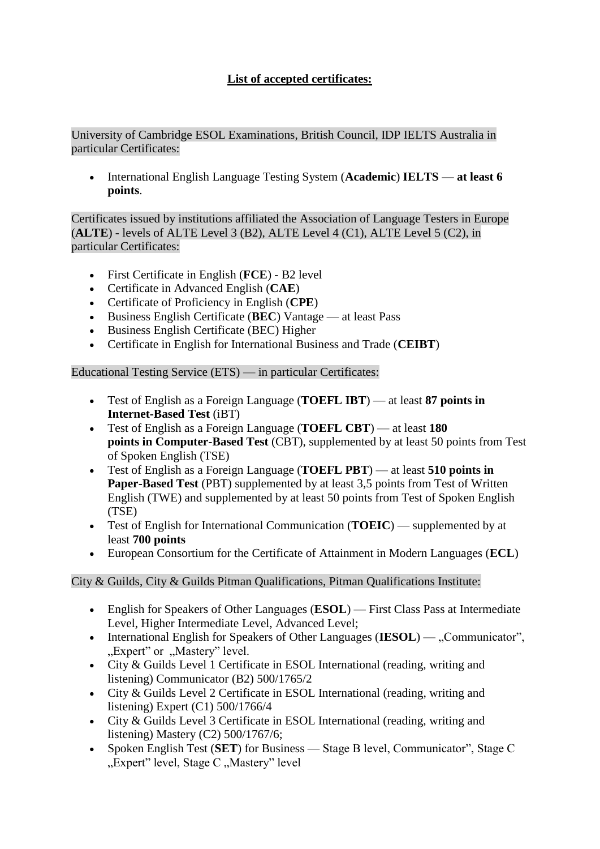## **List of accepted certificates:**

University of Cambridge ESOL Examinations, British Council, IDP IELTS Australia in particular Certificates:

• International English Language Testing System (**Academic**) **IELTS** — **at least 6 points**.

Certificates issued by institutions affiliated the Association of Language Testers in Europe (**ALTE**) - levels of ALTE Level 3 (B2), ALTE Level 4 (C1), ALTE Level 5 (C2), in particular Certificates:

- First Certificate in English (**FCE**) B2 level
- Certificate in Advanced English (**CAE**)
- Certificate of Proficiency in English (**CPE**)
- Business English Certificate (**BEC**) Vantage at least Pass
- Business English Certificate (BEC) Higher
- Certificate in English for International Business and Trade (**CEIBT**)

Educational Testing Service (ETS) — in particular Certificates:

- Test of English as a Foreign Language (**TOEFL IBT**) at least **87 points in Internet-Based Test** (iBT)
- Test of English as a Foreign Language (**TOEFL CBT**) at least **180 points in Computer-Based Test** (CBT), supplemented by at least 50 points from Test of Spoken English (TSE)
- Test of English as a Foreign Language (**TOEFL PBT**) at least **510 points in Paper-Based Test** (PBT) supplemented by at least 3,5 points from Test of Written English (TWE) and supplemented by at least 50 points from Test of Spoken English (TSE)
- Test of English for International Communication (**TOEIC**) supplemented by at least **700 points**
- European Consortium for the Certificate of Attainment in Modern Languages (**ECL**)

City & Guilds, City & Guilds Pitman Qualifications, Pitman Qualifications Institute:

- English for Speakers of Other Languages (**ESOL**) First Class Pass at Intermediate Level, Higher Intermediate Level, Advanced Level;
- International English for Speakers of Other Languages (IESOL) ..Communicator". "Expert" or "Mastery" level.
- City & Guilds Level 1 Certificate in ESOL International (reading, writing and listening) Communicator (B2) 500/1765/2
- City & Guilds Level 2 Certificate in ESOL International (reading, writing and listening) Expert (C1) 500/1766/4
- City & Guilds Level 3 Certificate in ESOL International (reading, writing and listening) Mastery (C2) 500/1767/6;
- Spoken English Test (**SET**) for Business Stage B level, Communicator", Stage C "Expert" level, Stage C "Mastery" level